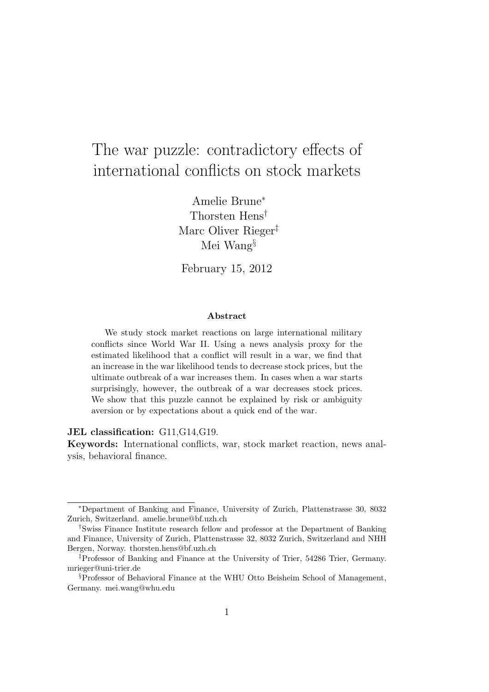# The war puzzle: contradictory effects of international conflicts on stock markets

Amelie Brune<sup>∗</sup> Thorsten Hens† Marc Oliver Rieger‡ Mei Wang§

February 15, 2012

#### Abstract

We study stock market reactions on large international military conflicts since World War II. Using a news analysis proxy for the estimated likelihood that a conflict will result in a war, we find that an increase in the war likelihood tends to decrease stock prices, but the ultimate outbreak of a war increases them. In cases when a war starts surprisingly, however, the outbreak of a war decreases stock prices. We show that this puzzle cannot be explained by risk or ambiguity aversion or by expectations about a quick end of the war.

#### JEL classification: G11,G14,G19.

Keywords: International conflicts, war, stock market reaction, news analysis, behavioral finance.

<sup>∗</sup>Department of Banking and Finance, University of Zurich, Plattenstrasse 30, 8032 Zurich, Switzerland. amelie.brune@bf.uzh.ch

<sup>†</sup>Swiss Finance Institute research fellow and professor at the Department of Banking and Finance, University of Zurich, Plattenstrasse 32, 8032 Zurich, Switzerland and NHH Bergen, Norway. thorsten.hens@bf.uzh.ch

<sup>‡</sup>Professor of Banking and Finance at the University of Trier, 54286 Trier, Germany. mrieger@uni-trier.de

<sup>§</sup>Professor of Behavioral Finance at the WHU Otto Beisheim School of Management, Germany. mei.wang@whu.edu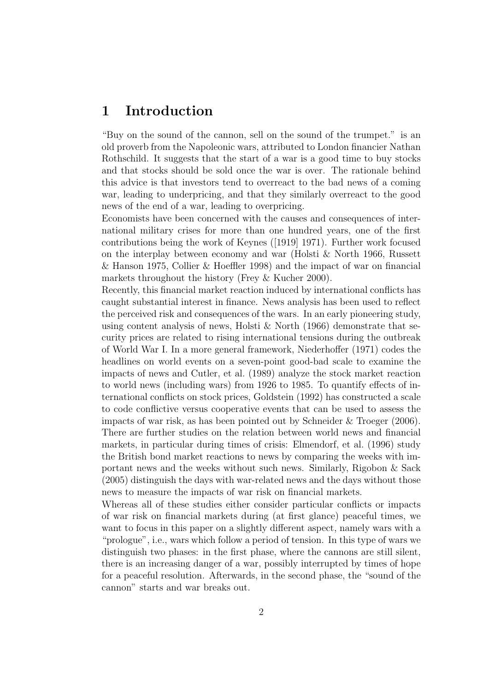# 1 Introduction

"Buy on the sound of the cannon, sell on the sound of the trumpet." is an old proverb from the Napoleonic wars, attributed to London financier Nathan Rothschild. It suggests that the start of a war is a good time to buy stocks and that stocks should be sold once the war is over. The rationale behind this advice is that investors tend to overreact to the bad news of a coming war, leading to underpricing, and that they similarly overreact to the good news of the end of a war, leading to overpricing.

Economists have been concerned with the causes and consequences of international military crises for more than one hundred years, one of the first contributions being the work of Keynes ([1919] 1971). Further work focused on the interplay between economy and war (Holsti & North 1966, Russett & Hanson 1975, Collier & Hoeffler 1998) and the impact of war on financial markets throughout the history (Frey & Kucher 2000).

Recently, this financial market reaction induced by international conflicts has caught substantial interest in finance. News analysis has been used to reflect the perceived risk and consequences of the wars. In an early pioneering study, using content analysis of news, Holsti  $\&$  North (1966) demonstrate that security prices are related to rising international tensions during the outbreak of World War I. In a more general framework, Niederhoffer (1971) codes the headlines on world events on a seven-point good-bad scale to examine the impacts of news and Cutler, et al. (1989) analyze the stock market reaction to world news (including wars) from 1926 to 1985. To quantify effects of international conflicts on stock prices, Goldstein (1992) has constructed a scale to code conflictive versus cooperative events that can be used to assess the impacts of war risk, as has been pointed out by Schneider & Troeger (2006). There are further studies on the relation between world news and financial markets, in particular during times of crisis: Elmendorf, et al. (1996) study the British bond market reactions to news by comparing the weeks with important news and the weeks without such news. Similarly, Rigobon & Sack (2005) distinguish the days with war-related news and the days without those news to measure the impacts of war risk on financial markets.

Whereas all of these studies either consider particular conflicts or impacts of war risk on financial markets during (at first glance) peaceful times, we want to focus in this paper on a slightly different aspect, namely wars with a "prologue", i.e., wars which follow a period of tension. In this type of wars we distinguish two phases: in the first phase, where the cannons are still silent, there is an increasing danger of a war, possibly interrupted by times of hope for a peaceful resolution. Afterwards, in the second phase, the "sound of the cannon" starts and war breaks out.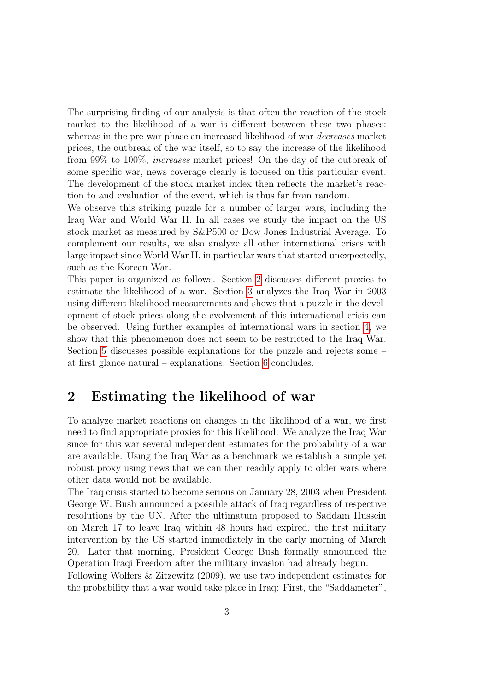The surprising finding of our analysis is that often the reaction of the stock market to the likelihood of a war is different between these two phases: whereas in the pre-war phase an increased likelihood of war decreases market prices, the outbreak of the war itself, so to say the increase of the likelihood from 99% to 100%, increases market prices! On the day of the outbreak of some specific war, news coverage clearly is focused on this particular event. The development of the stock market index then reflects the market's reaction to and evaluation of the event, which is thus far from random.

We observe this striking puzzle for a number of larger wars, including the Iraq War and World War II. In all cases we study the impact on the US stock market as measured by S&P500 or Dow Jones Industrial Average. To complement our results, we also analyze all other international crises with large impact since World War II, in particular wars that started unexpectedly, such as the Korean War.

This paper is organized as follows. Section [2](#page-2-0) discusses different proxies to estimate the likelihood of a war. Section [3](#page-5-0) analyzes the Iraq War in 2003 using different likelihood measurements and shows that a puzzle in the development of stock prices along the evolvement of this international crisis can be observed. Using further examples of international wars in section [4,](#page-9-0) we show that this phenomenon does not seem to be restricted to the Iraq War. Section [5](#page-20-0) discusses possible explanations for the puzzle and rejects some – at first glance natural – explanations. Section [6](#page-25-0) concludes.

### <span id="page-2-0"></span>2 Estimating the likelihood of war

To analyze market reactions on changes in the likelihood of a war, we first need to find appropriate proxies for this likelihood. We analyze the Iraq War since for this war several independent estimates for the probability of a war are available. Using the Iraq War as a benchmark we establish a simple yet robust proxy using news that we can then readily apply to older wars where other data would not be available.

The Iraq crisis started to become serious on January 28, 2003 when President George W. Bush announced a possible attack of Iraq regardless of respective resolutions by the UN. After the ultimatum proposed to Saddam Hussein on March 17 to leave Iraq within 48 hours had expired, the first military intervention by the US started immediately in the early morning of March 20. Later that morning, President George Bush formally announced the Operation Iraqi Freedom after the military invasion had already begun.

Following Wolfers & Zitzewitz (2009), we use two independent estimates for the probability that a war would take place in Iraq: First, the "Saddameter",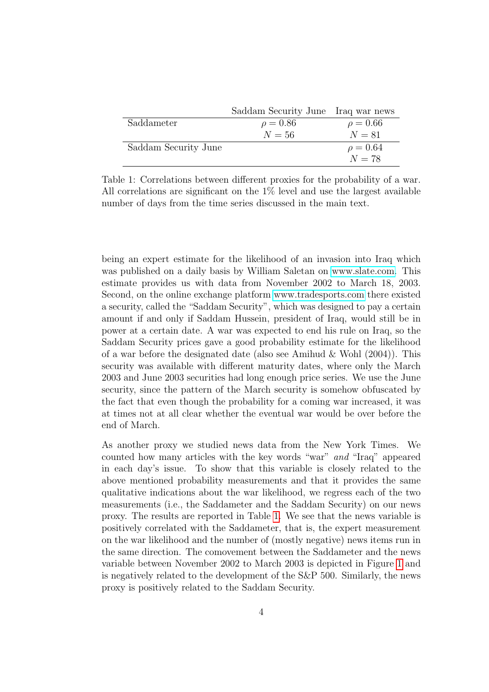<span id="page-3-0"></span>

|                      | Saddam Security June Iraq war news |               |
|----------------------|------------------------------------|---------------|
| Saddameter           | $\rho = 0.86$                      | $\rho = 0.66$ |
|                      | $N=56$                             | $N = 81$      |
| Saddam Security June |                                    | $\rho = 0.64$ |
|                      |                                    | $N=78$        |

Table 1: Correlations between different proxies for the probability of a war. All correlations are significant on the  $1\%$  level and use the largest available number of days from the time series discussed in the main text.

being an expert estimate for the likelihood of an invasion into Iraq which was published on a daily basis by William Saletan on [www.slate.com.](http://www.slate.com) This estimate provides us with data from November 2002 to March 18, 2003. Second, on the online exchange platform [www.tradesports.com](http://www.tradesports.com) there existed a security, called the "Saddam Security", which was designed to pay a certain amount if and only if Saddam Hussein, president of Iraq, would still be in power at a certain date. A war was expected to end his rule on Iraq, so the Saddam Security prices gave a good probability estimate for the likelihood of a war before the designated date (also see Amihud & Wohl (2004)). This security was available with different maturity dates, where only the March 2003 and June 2003 securities had long enough price series. We use the June security, since the pattern of the March security is somehow obfuscated by the fact that even though the probability for a coming war increased, it was at times not at all clear whether the eventual war would be over before the end of March.

As another proxy we studied news data from the New York Times. We counted how many articles with the key words "war" and "Iraq" appeared in each day's issue. To show that this variable is closely related to the above mentioned probability measurements and that it provides the same qualitative indications about the war likelihood, we regress each of the two measurements (i.e., the Saddameter and the Saddam Security) on our news proxy. The results are reported in Table [1.](#page-3-0) We see that the news variable is positively correlated with the Saddameter, that is, the expert measurement on the war likelihood and the number of (mostly negative) news items run in the same direction. The comovement between the Saddameter and the news variable between November 2002 to March 2003 is depicted in Figure [1](#page-4-0) and is negatively related to the development of the S&P 500. Similarly, the news proxy is positively related to the Saddam Security.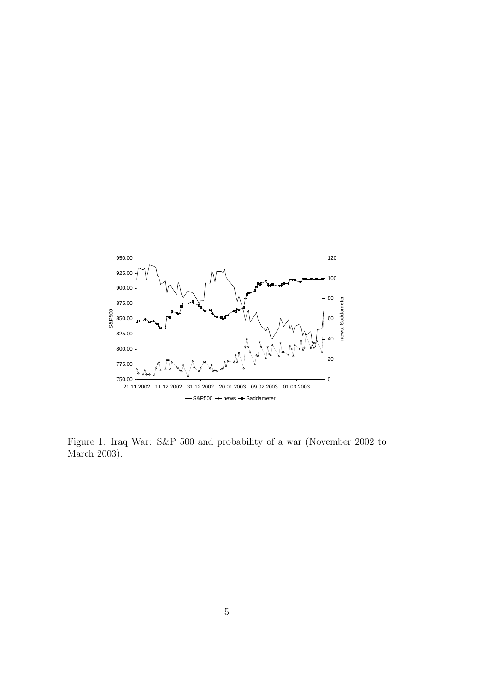<span id="page-4-0"></span>

Figure 1: Iraq War: S&P 500 and probability of a war (November 2002 to March 2003).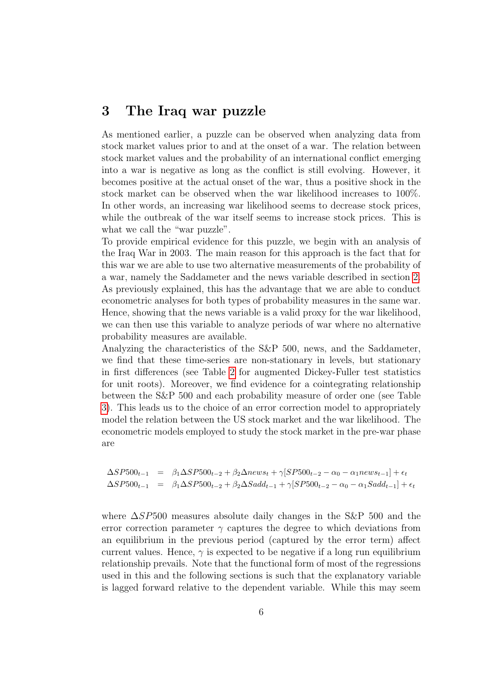### <span id="page-5-0"></span>3 The Iraq war puzzle

As mentioned earlier, a puzzle can be observed when analyzing data from stock market values prior to and at the onset of a war. The relation between stock market values and the probability of an international conflict emerging into a war is negative as long as the conflict is still evolving. However, it becomes positive at the actual onset of the war, thus a positive shock in the stock market can be observed when the war likelihood increases to 100%. In other words, an increasing war likelihood seems to decrease stock prices, while the outbreak of the war itself seems to increase stock prices. This is what we call the "war puzzle".

To provide empirical evidence for this puzzle, we begin with an analysis of the Iraq War in 2003. The main reason for this approach is the fact that for this war we are able to use two alternative measurements of the probability of a war, namely the Saddameter and the news variable described in section [2.](#page-2-0) As previously explained, this has the advantage that we are able to conduct econometric analyses for both types of probability measures in the same war. Hence, showing that the news variable is a valid proxy for the war likelihood, we can then use this variable to analyze periods of war where no alternative probability measures are available.

Analyzing the characteristics of the S&P 500, news, and the Saddameter, we find that these time-series are non-stationary in levels, but stationary in first differences (see Table [2](#page-6-0) for augmented Dickey-Fuller test statistics for unit roots). Moreover, we find evidence for a cointegrating relationship between the S&P 500 and each probability measure of order one (see Table [3\)](#page-6-1). This leads us to the choice of an error correction model to appropriately model the relation between the US stock market and the war likelihood. The econometric models employed to study the stock market in the pre-war phase are

$$
\Delta SP500_{t-1} = \beta_1 \Delta SP500_{t-2} + \beta_2 \Delta news_t + \gamma [SP500_{t-2} - \alpha_0 - \alpha_1 news_{t-1}] + \epsilon_t
$$
  
\n
$$
\Delta SP500_{t-1} = \beta_1 \Delta SP500_{t-2} + \beta_2 \Delta Sadd_{t-1} + \gamma [SP500_{t-2} - \alpha_0 - \alpha_1 Sadd_{t-1}] + \epsilon_t
$$

where ∆SP500 measures absolute daily changes in the S&P 500 and the error correction parameter  $\gamma$  captures the degree to which deviations from an equilibrium in the previous period (captured by the error term) affect current values. Hence,  $\gamma$  is expected to be negative if a long run equilibrium relationship prevails. Note that the functional form of most of the regressions used in this and the following sections is such that the explanatory variable is lagged forward relative to the dependent variable. While this may seem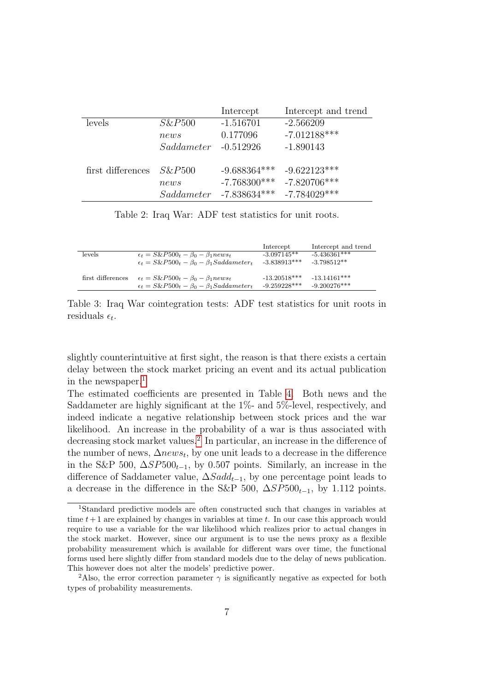<span id="page-6-0"></span>

|                   |                            | Intercept                 | Intercept and trend |
|-------------------|----------------------------|---------------------------|---------------------|
| levels            | <i>S&amp;P</i> 500         | $-1.516701$               | $-2.566209$         |
|                   | news                       | 0.177096                  | $-7.012188***$      |
|                   | Saddameter                 | $-0.512926$               | $-1.890143$         |
|                   |                            |                           |                     |
| first differences | <i>S</i> &P <sub>500</sub> | $-9.688364***$            | $-9.622123***$      |
|                   | news                       | $-7.768300***$            | $-7.820706***$      |
|                   |                            | $Saddameter -7.838634***$ | $-7.784029***$      |

Table 2: Iraq War: ADF test statistics for unit roots.

<span id="page-6-1"></span>

|                   |                                                                                                                 | Intercept                        | Intercept and trend              |
|-------------------|-----------------------------------------------------------------------------------------------------------------|----------------------------------|----------------------------------|
| levels            | $\epsilon_t = S\&P500_t - \beta_0 - \beta_1 news_t$                                                             | $-3.097145***$                   | $-5.436361***$                   |
|                   | $\epsilon_t = S\&P500_t - \beta_0 - \beta_1Saddameter_t$                                                        | $-3.838913***$                   | $-3.798512**$                    |
| first differences | $\epsilon_t = S\&P500_t - \beta_0 - \beta_1 news_t$<br>$\epsilon_t = S\&P500_t - \beta_0 - \beta_1Saddameter_t$ | $-13.20518***$<br>$-9.259228***$ | $-13.14161***$<br>$-9.200276***$ |

Table 3: Iraq War cointegration tests: ADF test statistics for unit roots in residuals  $\epsilon_t$ .

slightly counterintuitive at first sight, the reason is that there exists a certain delay between the stock market pricing an event and its actual publication in the newspaper.<sup>[1](#page-6-2)</sup>

The estimated coefficients are presented in Table [4.](#page-7-0) Both news and the Saddameter are highly significant at the 1%- and 5%-level, respectively, and indeed indicate a negative relationship between stock prices and the war likelihood. An increase in the probability of a war is thus associated with decreasing stock market values.<sup>[2](#page-6-3)</sup> In particular, an increase in the difference of the number of news,  $\Delta news_t$ , by one unit leads to a decrease in the difference in the S&P 500,  $\Delta SP500_{t-1}$ , by 0.507 points. Similarly, an increase in the difference of Saddameter value,  $\Delta Sadd_{t-1}$ , by one percentage point leads to a decrease in the difference in the S&P 500,  $\Delta SP500_{t-1}$ , by 1.112 points.

<span id="page-6-2"></span><sup>1</sup>Standard predictive models are often constructed such that changes in variables at time  $t+1$  are explained by changes in variables at time t. In our case this approach would require to use a variable for the war likelihood which realizes prior to actual changes in the stock market. However, since our argument is to use the news proxy as a flexible probability measurement which is available for different wars over time, the functional forms used here slightly differ from standard models due to the delay of news publication. This however does not alter the models' predictive power.

<span id="page-6-3"></span><sup>&</sup>lt;sup>2</sup>Also, the error correction parameter  $\gamma$  is significantly negative as expected for both types of probability measurements.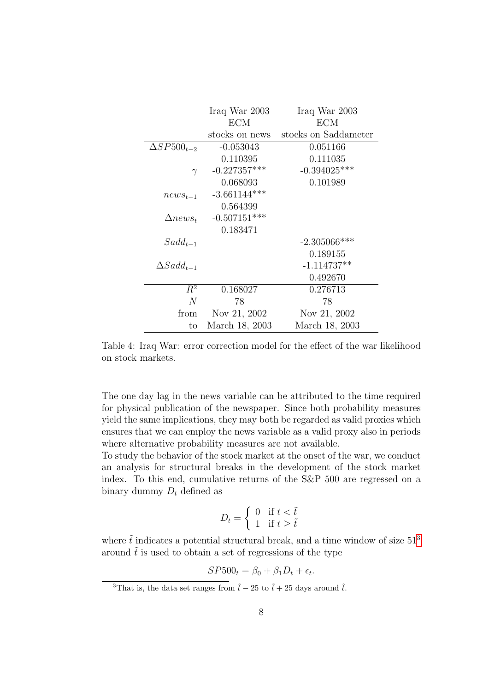<span id="page-7-0"></span>

|                      | Iraq War 2003  | Iraq War 2003        |
|----------------------|----------------|----------------------|
|                      | <b>ECM</b>     | <b>ECM</b>           |
|                      | stocks on news | stocks on Saddameter |
| $\Delta SP500_{t-2}$ | $-0.053043$    | 0.051166             |
|                      | 0.110395       | 0.111035             |
| $\gamma$             | $-0.227357***$ | $-0.394025***$       |
|                      | 0.068093       | 0.101989             |
| $news_{t-1}$         | $-3.661144***$ |                      |
|                      | 0.564399       |                      |
| $\triangle news_t$   | $-0.507151***$ |                      |
|                      | 0.183471       |                      |
| $Sadd_{t-1}$         |                | $-2.305066$ ***      |
|                      |                | 0.189155             |
| $\Delta Sadd_{t-1}$  |                | $-1.114737**$        |
|                      |                | 0.492670             |
| $R^2$                | 0.168027       | 0.276713             |
| N                    | 78             | 78                   |
| from                 | Nov 21, 2002   | Nov 21, 2002         |
| to                   | March 18, 2003 | March 18, 2003       |

Table 4: Iraq War: error correction model for the effect of the war likelihood on stock markets.

The one day lag in the news variable can be attributed to the time required for physical publication of the newspaper. Since both probability measures yield the same implications, they may both be regarded as valid proxies which ensures that we can employ the news variable as a valid proxy also in periods where alternative probability measures are not available.

To study the behavior of the stock market at the onset of the war, we conduct an analysis for structural breaks in the development of the stock market index. To this end, cumulative returns of the S&P 500 are regressed on a binary dummy  $D_t$  defined as

$$
D_t = \begin{cases} 0 & \text{if } t < \tilde{t} \\ 1 & \text{if } t \ge \tilde{t} \end{cases}
$$

where  $\tilde{t}$  indicates a potential structural break, and a time window of size  $51<sup>3</sup>$  $51<sup>3</sup>$  $51<sup>3</sup>$ around  $\tilde{t}$  is used to obtain a set of regressions of the type

$$
SP500t = \beta_0 + \beta_1 D_t + \epsilon_t.
$$

<span id="page-7-1"></span><sup>&</sup>lt;sup>3</sup>That is, the data set ranges from  $\tilde{t}$  − 25 to  $\tilde{t}$  + 25 days around  $\tilde{t}$ .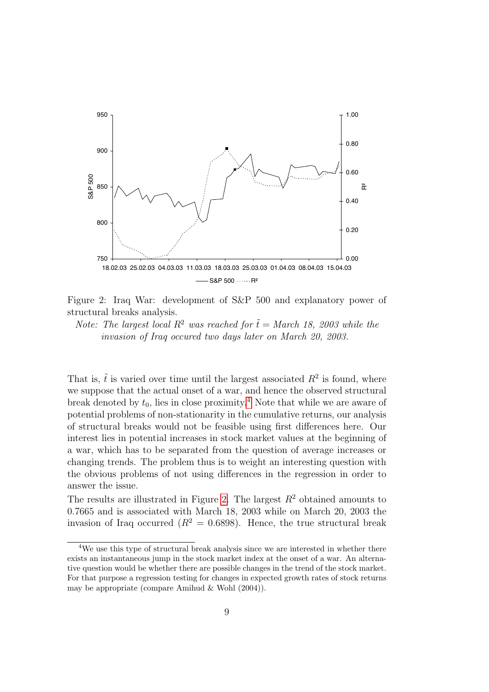<span id="page-8-1"></span>

Figure 2: Iraq War: development of S&P 500 and explanatory power of structural breaks analysis.

Figure 2: In the largest transfer and transfer of  $\frac{1}{2}$  500 and 20, 2003. Note: The largest local  $R^2$  was reached for  $\tilde{t} = March 18$ , 2003 while the

That is,  $\tilde{t}$  is varied over time until the largest associated  $R^2$  is found, where we suppose that the actual onset of a war, and hence the observed structural break denoted by  $t_0$ , lies in close proximity.<sup>[4](#page-8-0)</sup> Note that while we are aware of potential problems of non-stationarity in the cumulative returns, our analysis of structural breaks would not be feasible using first differences here. Our interest lies in potential increases in stock market values at the beginning of a war, which has to be separated from the question of average increases or changing trends. The problem thus is to weight an interesting question with the obvious problems of not using differences in the regression in order to answer the issue.

The results are illustrated in Figure [2.](#page-8-1) The largest  $R^2$  obtained amounts to 0.7665 and is associated with March 18, 2003 while on March 20, 2003 the invasion of Iraq occurred ( $R^2 = 0.6898$ ). Hence, the true structural break

<span id="page-8-0"></span> $4$ We use this type of structural break analysis since we are interested in whether there exists an instantaneous jump in the stock market index at the onset of a war. An alternative question would be whether there are possible changes in the trend of the stock market. For that purpose a regression testing for changes in expected growth rates of stock returns may be appropriate (compare Amihud & Wohl (2004)).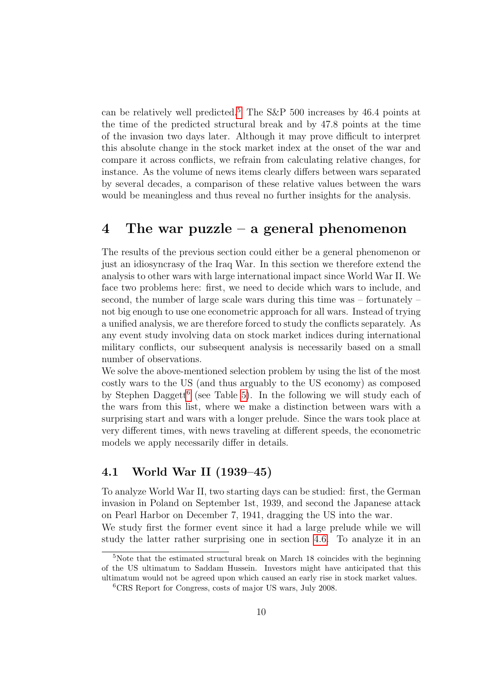can be relatively well predicted.[5](#page-9-1) The S&P 500 increases by 46.4 points at the time of the predicted structural break and by 47.8 points at the time of the invasion two days later. Although it may prove difficult to interpret this absolute change in the stock market index at the onset of the war and compare it across conflicts, we refrain from calculating relative changes, for instance. As the volume of news items clearly differs between wars separated by several decades, a comparison of these relative values between the wars would be meaningless and thus reveal no further insights for the analysis.

### <span id="page-9-0"></span>4 The war puzzle – a general phenomenon

The results of the previous section could either be a general phenomenon or just an idiosyncrasy of the Iraq War. In this section we therefore extend the analysis to other wars with large international impact since World War II. We face two problems here: first, we need to decide which wars to include, and second, the number of large scale wars during this time was – fortunately – not big enough to use one econometric approach for all wars. Instead of trying a unified analysis, we are therefore forced to study the conflicts separately. As any event study involving data on stock market indices during international military conflicts, our subsequent analysis is necessarily based on a small number of observations.

We solve the above-mentioned selection problem by using the list of the most costly wars to the US (and thus arguably to the US economy) as composed by Stephen Daggett<sup>[6](#page-9-2)</sup> (see Table [5\)](#page-10-0). In the following we will study each of the wars from this list, where we make a distinction between wars with a surprising start and wars with a longer prelude. Since the wars took place at very different times, with news traveling at different speeds, the econometric models we apply necessarily differ in details.

### 4.1 World War II (1939–45)

To analyze World War II, two starting days can be studied: first, the German invasion in Poland on September 1st, 1939, and second the Japanese attack on Pearl Harbor on December 7, 1941, dragging the US into the war.

We study first the former event since it had a large prelude while we will study the latter rather surprising one in section [4.6.](#page-19-0) To analyze it in an

<span id="page-9-1"></span><sup>&</sup>lt;sup>5</sup>Note that the estimated structural break on March 18 coincides with the beginning of the US ultimatum to Saddam Hussein. Investors might have anticipated that this ultimatum would not be agreed upon which caused an early rise in stock market values.

<span id="page-9-2"></span><sup>6</sup>CRS Report for Congress, costs of major US wars, July 2008.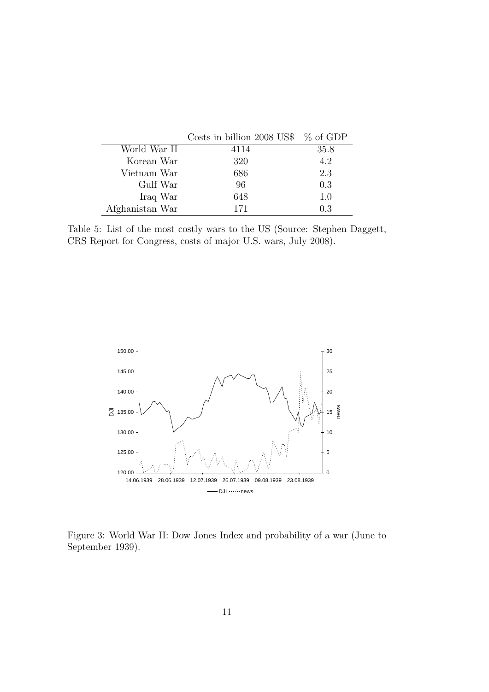<span id="page-10-0"></span>

|                 | Costs in billion 2008 US\$ $\%$ of GDP |      |
|-----------------|----------------------------------------|------|
| World War II    | 4114                                   | 35.8 |
| Korean War      | 320                                    | 4.2  |
| Vietnam War     | 686                                    | 2.3  |
| Gulf War        | 96                                     | 0.3  |
| Iraq War        | 648                                    | 1.0  |
| Afghanistan War | 171                                    | 0.3  |

Table 5: List of the most costly wars to the US (Source: Stephen Daggett, CRS Report for Congress, costs of major U.S. wars, July 2008).

<span id="page-10-1"></span>

Figure 3: World War II: Dow Jones Index and probability of a war (June to September 1939).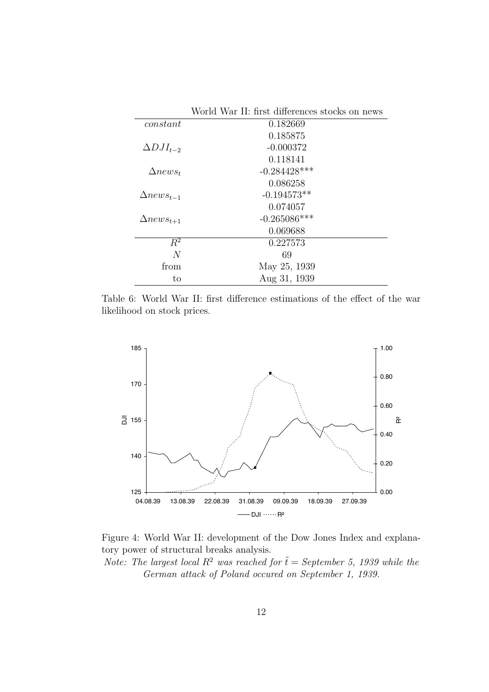<span id="page-11-0"></span>

|                     | World War II: first differences stocks on news |
|---------------------|------------------------------------------------|
| constant            | 0.182669                                       |
|                     | 0.185875                                       |
| $\Delta DJI_{t-2}$  | $-0.000372$                                    |
|                     | 0.118141                                       |
| $\triangle news_t$  | $-0.284428***$                                 |
|                     | 0.086258                                       |
| $\Delta news_{t-1}$ | $-0.194573**$                                  |
|                     | 0.074057                                       |
| $\Delta news_{t+1}$ | $-0.265086***$                                 |
|                     | 0.069688                                       |
| $R^2$               | 0.227573                                       |
| N                   | 69                                             |
| from                | May 25, 1939                                   |
| to                  | Aug 31, 1939                                   |

Table 6: World War II: first difference estimations of the effect of the war likelihood on stock prices.

<span id="page-11-1"></span>

Figure 4: World War II: development of the Dow Jones Index and explanatory power of structural breaks analysis.

Note: The largest local  $R^2$  was reached for  $\tilde{t} =$  September 5, 1939 while the German attack of Poland occured on September 1, 1939.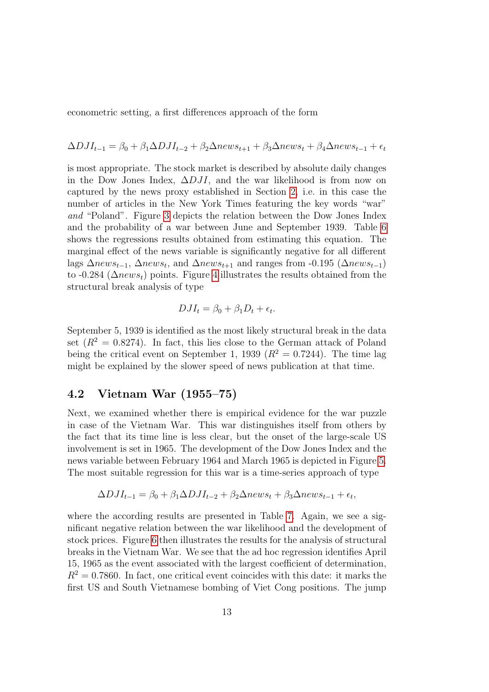econometric setting, a first differences approach of the form

$$
\Delta DJI_{t-1} = \beta_0 + \beta_1 \Delta DJI_{t-2} + \beta_2 \Delta news_{t+1} + \beta_3 \Delta news_t + \beta_4 \Delta news_{t-1} + \epsilon_t
$$

is most appropriate. The stock market is described by absolute daily changes in the Dow Jones Index,  $\Delta DJI$ , and the war likelihood is from now on captured by the news proxy established in Section [2,](#page-2-0) i.e. in this case the number of articles in the New York Times featuring the key words "war" and "Poland". Figure [3](#page-10-1) depicts the relation between the Dow Jones Index and the probability of a war between June and September 1939. Table [6](#page-11-0) shows the regressions results obtained from estimating this equation. The marginal effect of the news variable is significantly negative for all different lags  $\Delta news_{t-1}$ ,  $\Delta news_t$ , and  $\Delta news_{t+1}$  and ranges from -0.195 ( $\Delta news_{t-1}$ ) to -0.284 ( $\triangle news_t$ ) points. Figure [4](#page-11-1) illustrates the results obtained from the structural break analysis of type

$$
DJI_t = \beta_0 + \beta_1 D_t + \epsilon_t.
$$

September 5, 1939 is identified as the most likely structural break in the data set  $(R^2 = 0.8274)$ . In fact, this lies close to the German attack of Poland being the critical event on September 1, 1939 ( $R^2 = 0.7244$ ). The time lag might be explained by the slower speed of news publication at that time.

#### 4.2 Vietnam War (1955–75)

Next, we examined whether there is empirical evidence for the war puzzle in case of the Vietnam War. This war distinguishes itself from others by the fact that its time line is less clear, but the onset of the large-scale US involvement is set in 1965. The development of the Dow Jones Index and the news variable between February 1964 and March 1965 is depicted in Figure [5.](#page-13-0) The most suitable regression for this war is a time-series approach of type

$$
\Delta DJI_{t-1} = \beta_0 + \beta_1 \Delta DJI_{t-2} + \beta_2 \Delta news_t + \beta_3 \Delta news_{t-1} + \epsilon_t,
$$

where the according results are presented in Table [7.](#page-14-0) Again, we see a significant negative relation between the war likelihood and the development of stock prices. Figure [6](#page-14-1) then illustrates the results for the analysis of structural breaks in the Vietnam War. We see that the ad hoc regression identifies April 15, 1965 as the event associated with the largest coefficient of determination,  $R^2 = 0.7860$ . In fact, one critical event coincides with this date: it marks the first US and South Vietnamese bombing of Viet Cong positions. The jump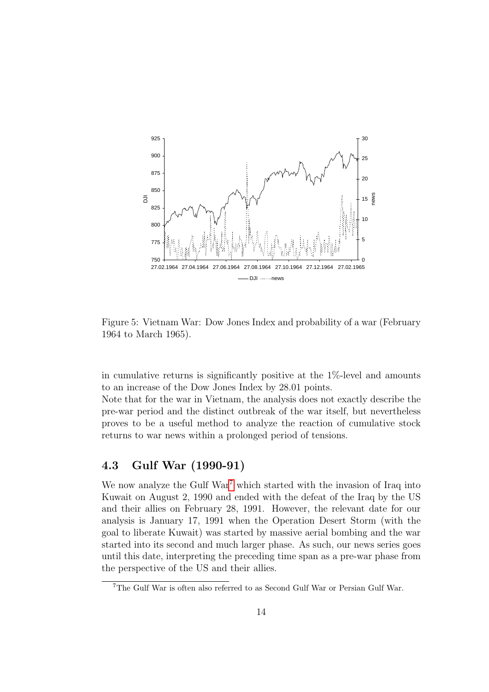<span id="page-13-0"></span>

Figure 5: Vietnam War: Dow Jones Index and probability of a war (February 1964 to March 1965).

in cumulative returns is significantly positive at the  $1\%$ -level and amounts to an increase of the Dow Jones Index by 28.01 points.

Note that for the war in Vietnam, the analysis does not exactly describe the pre-war period and the distinct outbreak of the war itself, but nevertheless proves to be a useful method to analyze the reaction of cumulative stock returns to war news within a prolonged period of tensions.

#### 4.3 Gulf War (1990-91)

We now analyze the Gulf War<sup>[7](#page-13-1)</sup> which started with the invasion of Iraq into Kuwait on August 2, 1990 and ended with the defeat of the Iraq by the US and their allies on February 28, 1991. However, the relevant date for our analysis is January 17, 1991 when the Operation Desert Storm (with the goal to liberate Kuwait) was started by massive aerial bombing and the war started into its second and much larger phase. As such, our news series goes until this date, interpreting the preceding time span as a pre-war phase from the perspective of the US and their allies.

<span id="page-13-1"></span><sup>7</sup>The Gulf War is often also referred to as Second Gulf War or Persian Gulf War.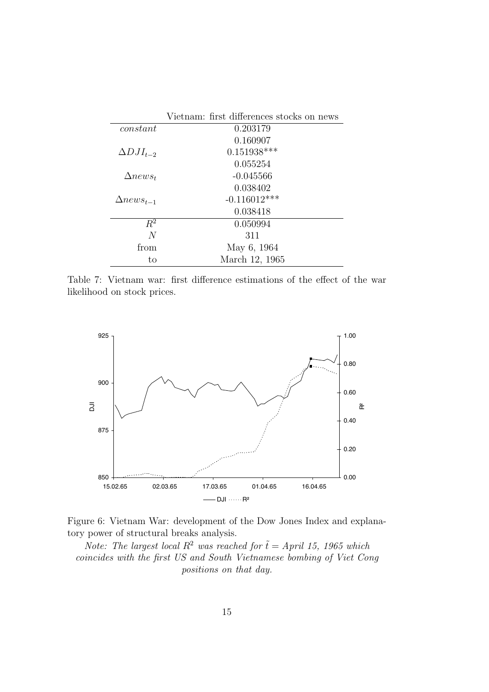<span id="page-14-0"></span>

|                     | Vietnam: first differences stocks on news |
|---------------------|-------------------------------------------|
| constant            | 0.203179                                  |
|                     | 0.160907                                  |
| $\Delta DJI_{t-2}$  | $0.151938***$                             |
|                     | 0.055254                                  |
| $\Delta news_t$     | $-0.045566$                               |
|                     | 0.038402                                  |
| $\Delta news_{t-1}$ | $-0.116012***$                            |
|                     | 0.038418                                  |
| $R^2$               | 0.050994                                  |
| N                   | 311                                       |
| from                | May 6, 1964                               |
| to                  | March 12, 1965                            |

Table 7: Vietnam war: first difference estimations of the effect of the war likelihood on stock prices.

<span id="page-14-1"></span>



Figure 6: The targest todal  $\Lambda$  was reached for  $t = Aprt/10$ , 1900 which coincides with the first US and South Vietnamese bombing of Viet Cong<br>nositions on that day  $\frac{1}{2}$  was reached for the largest local R2 was reached for the largest local R2 was reached for the largest local R2 was reached for the largest local R2 was reached for the largest local R2 was reached for the larges Note: The largest local  $R^2$  was reached for  $\tilde{t} = A$  pril 15, 1965 which positions on that day.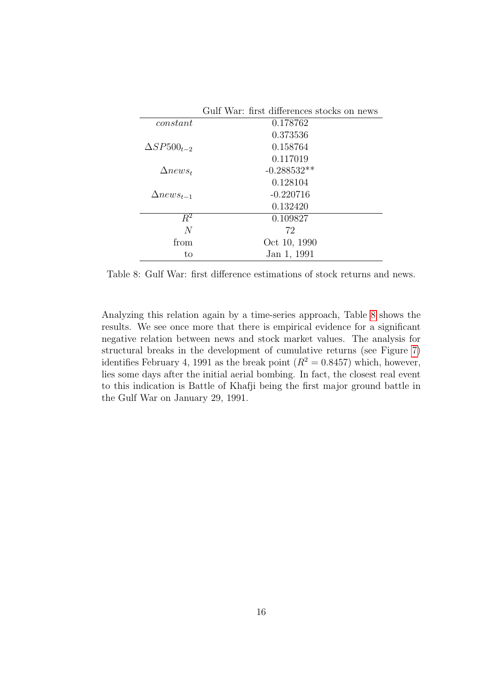<span id="page-15-0"></span>

|                      | Gulf War: first differences stocks on news |
|----------------------|--------------------------------------------|
| constant             | 0.178762                                   |
|                      | 0.373536                                   |
| $\Delta SP500_{t-2}$ | 0.158764                                   |
|                      | 0.117019                                   |
| $\triangle news_t$   | $-0.288532**$                              |
|                      | 0.128104                                   |
| $\Delta news_{t-1}$  | $-0.220716$                                |
|                      | 0.132420                                   |
| $R^2$                | 0.109827                                   |
| N                    | 72                                         |
| from                 | Oct 10, 1990                               |
| to                   | Jan 1, 1991                                |

Table 8: Gulf War: first difference estimations of stock returns and news.

Analyzing this relation again by a time-series approach, Table [8](#page-15-0) shows the results. We see once more that there is empirical evidence for a significant negative relation between news and stock market values. The analysis for structural breaks in the development of cumulative returns (see Figure [7\)](#page-16-0) identifies February 4, 1991 as the break point  $(R^2 = 0.8457)$  which, however, lies some days after the initial aerial bombing. In fact, the closest real event to this indication is Battle of Khafji being the first major ground battle in the Gulf War on January 29, 1991.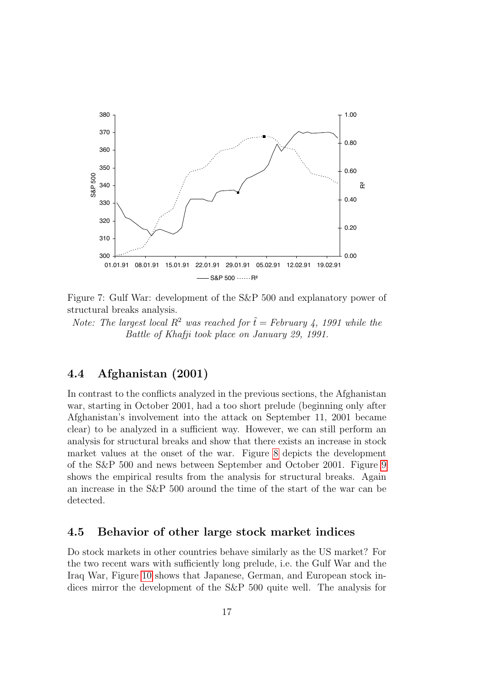<span id="page-16-0"></span>

Figure 7: Gulf War: development of the S&P 500 and explanatory power of structural breaks analysis.

Figure 7: The targets local It was reached for  $v = 1$  cordary 29, 1991.  $\mathcal{L}_{\text{S}}$ Note: The largest local  $R^2$  was reached for  $\tilde{t} = February 4$ , 1991 while the

### $4.4$  Afghanistan  $(2001)$

Afghanistan's involvement into the attack on September 11, 2001 became analysis for structural breaks and show that there exists an increase in stock market values at the onset of the war. Figure 8 depicts the development of the S&P 500 and news [be](#page-17-1)tween September and October 2001. Figure 9 shows the empirical results from the analysis for structural breaks. Again  $\mathbb{R}^n$  and increase in the  $S\ell_{\text{P}}P_{\text{P}}P_{\text{P}}P_{\text{P}}P_{\text{P}}P_{\text{P}}P_{\text{P}}P_{\text{P}}P_{\text{P}}P_{\text{P}}P_{\text{P}}P_{\text{P}}P_{\text{P}}P_{\text{P}}P_{\text{P}}P_{\text{P}}$ an increase in the S&P 500 around the time of the start of the war can be detected In contrast to the conflicts analyzed in the previous sections, the Afghanistan war, starting in October 2001, had a too short prelude (beginning only after clear) to be analyzed in a sufficient way. However, we can still perform an detected.

### <span id="page-16-1"></span>of the September and news between September and October and October 2001. Figure 9.1 and October 2001. Figure 9.1 and October 2001. Figure 9.1 and October 2001. Figure 9.1 and October 2001. Figure 9.1 and October 2001. Fi 4.5 Behavior of other large stock market indices

Do stock markets in other countries behave similarly as the US market? For the two recent wars with sufficiently long prelude, i.e. the Gulf War and the Iraq War, Figure [10](#page-18-0) shows that Japanese, German, and European stock indices mirror the development of the S&P 500 quite well. The analysis for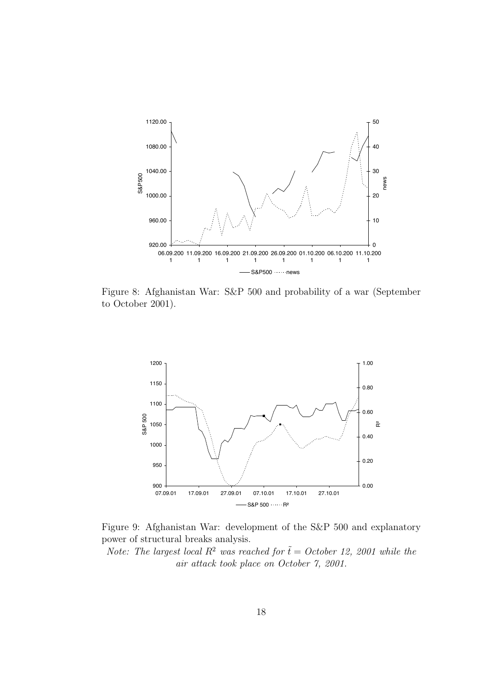<span id="page-17-0"></span>

Figure 8: Afghanistan War: S&P 500 and probability of a war (September to October 2001).

<span id="page-17-1"></span>



Note: The largest local  $R^2$  was reached for  $\tilde{t} = October 12$ , 2001 while the air attack took place on October 7, 2001.  $\mathcal{L}=\mathcal{L}$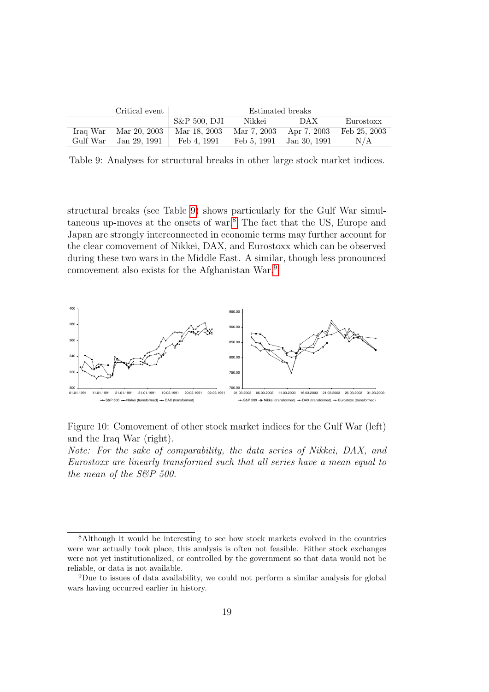<span id="page-18-1"></span>

|          | Critical event | Estimated breaks |             |              |              |
|----------|----------------|------------------|-------------|--------------|--------------|
|          |                | $S\&P500, DJI$   | Nikkei      | DAX          | Eurostoxx    |
| Iraq War | Mar 20, 2003   | Mar 18, 2003     | Mar 7, 2003 | Apr 7, 2003  | Feb 25, 2003 |
| Gulf War | Jan 29, 1991   | Feb 4, 1991      | Feb 5, 1991 | Jan 30, 1991 | N/A          |

Table 9: Analyses for structural breaks in other large stock market indices.

structural breaks (see Table [9\)](#page-18-1) shows particularly for the Gulf War simultaneous up-moves at the onsets of war.[8](#page-18-2) The fact that the US, Europe and Japan are strongly interconnected in economic terms may further account for the clear comovement of Nikkei, DAX, and Eurostoxx which can be observed during these two wars in the Middle East. A similar, though less pronounced comovement also exists for the Afghanistan War.[9](#page-18-3)

<span id="page-18-0"></span>



Note: For the sake of comparability, the data series of Nikkei, DAX, and Eurostoxx are linearly transformed such that all series have a mean equal to the mean of the S&P 500.

<span id="page-18-2"></span><sup>8</sup>Although it would be interesting to see how stock markets evolved in the countries were war actually took place, this analysis is often not feasible. Either stock exchanges were not yet institutionalized, or controlled by the government so that data would not be reliable, or data is not available.

<span id="page-18-3"></span><sup>9</sup>Due to issues of data availability, we could not perform a similar analysis for global wars having occurred earlier in history.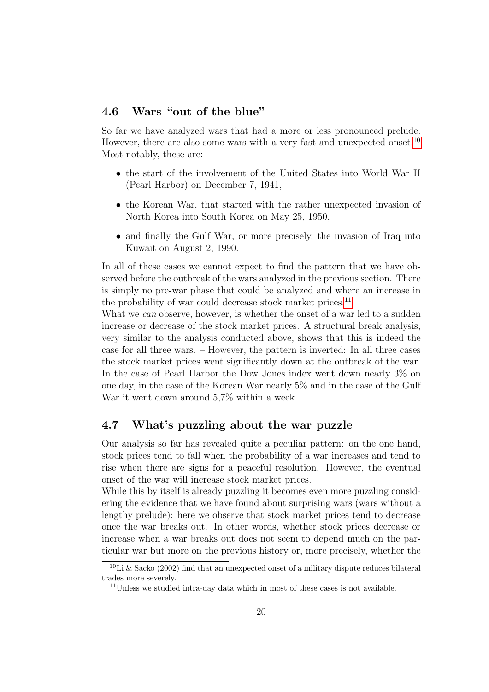#### <span id="page-19-0"></span>4.6 Wars "out of the blue"

So far we have analyzed wars that had a more or less pronounced prelude. However, there are also some wars with a very fast and unexpected onset.<sup>[10](#page-19-1)</sup> Most notably, these are:

- the start of the involvement of the United States into World War II (Pearl Harbor) on December 7, 1941,
- the Korean War, that started with the rather unexpected invasion of North Korea into South Korea on May 25, 1950,
- and finally the Gulf War, or more precisely, the invasion of Iraq into Kuwait on August 2, 1990.

In all of these cases we cannot expect to find the pattern that we have observed before the outbreak of the wars analyzed in the previous section. There is simply no pre-war phase that could be analyzed and where an increase in the probability of war could decrease stock market prices.<sup>[11](#page-19-2)</sup>

What we can observe, however, is whether the onset of a war led to a sudden increase or decrease of the stock market prices. A structural break analysis, very similar to the analysis conducted above, shows that this is indeed the case for all three wars. – However, the pattern is inverted: In all three cases the stock market prices went significantly down at the outbreak of the war. In the case of Pearl Harbor the Dow Jones index went down nearly 3% on one day, in the case of the Korean War nearly 5% and in the case of the Gulf War it went down around 5,7% within a week.

#### 4.7 What's puzzling about the war puzzle

Our analysis so far has revealed quite a peculiar pattern: on the one hand, stock prices tend to fall when the probability of a war increases and tend to rise when there are signs for a peaceful resolution. However, the eventual onset of the war will increase stock market prices.

While this by itself is already puzzling it becomes even more puzzling considering the evidence that we have found about surprising wars (wars without a lengthy prelude): here we observe that stock market prices tend to decrease once the war breaks out. In other words, whether stock prices decrease or increase when a war breaks out does not seem to depend much on the particular war but more on the previous history or, more precisely, whether the

<span id="page-19-1"></span> $10$ Li & Sacko (2002) find that an unexpected onset of a military dispute reduces bilateral trades more severely.

<span id="page-19-2"></span> $11$ Unless we studied intra-day data which in most of these cases is not available.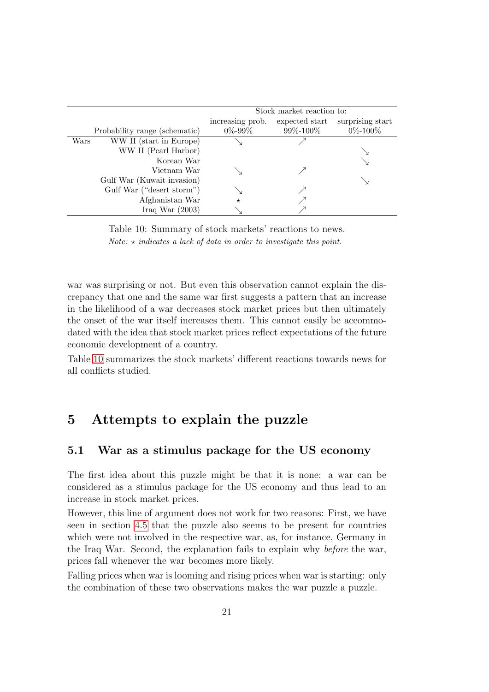<span id="page-20-1"></span>

|      |                               | Stock market reaction to: |                |                  |
|------|-------------------------------|---------------------------|----------------|------------------|
|      |                               | increasing prob.          | expected start | surprising start |
|      | Probability range (schematic) | $0\% - 99\%$              | $99\% - 100\%$ | $0\% - 100\%$    |
| Wars | WW II (start in Europe)       |                           |                |                  |
|      | WW II (Pearl Harbor)          |                           |                |                  |
|      | Korean War                    |                           |                |                  |
|      | Vietnam War                   |                           |                |                  |
|      | Gulf War (Kuwait invasion)    |                           |                |                  |
|      | Gulf War ("desert storm")     |                           |                |                  |
|      | Afghanistan War               | $\star$                   |                |                  |
|      | Iraq War $(2003)$             |                           |                |                  |

Table 10: Summary of stock markets' reactions to news. Note:  $\star$  indicates a lack of data in order to investigate this point.

war was surprising or not. But even this observation cannot explain the discrepancy that one and the same war first suggests a pattern that an increase in the likelihood of a war decreases stock market prices but then ultimately the onset of the war itself increases them. This cannot easily be accommodated with the idea that stock market prices reflect expectations of the future economic development of a country.

Table [10](#page-20-1) summarizes the stock markets' different reactions towards news for all conflicts studied.

# <span id="page-20-0"></span>5 Attempts to explain the puzzle

#### 5.1 War as a stimulus package for the US economy

The first idea about this puzzle might be that it is none: a war can be considered as a stimulus package for the US economy and thus lead to an increase in stock market prices.

However, this line of argument does not work for two reasons: First, we have seen in section [4.5](#page-16-1) that the puzzle also seems to be present for countries which were not involved in the respective war, as, for instance, Germany in the Iraq War. Second, the explanation fails to explain why before the war, prices fall whenever the war becomes more likely.

Falling prices when war is looming and rising prices when war is starting: only the combination of these two observations makes the war puzzle a puzzle.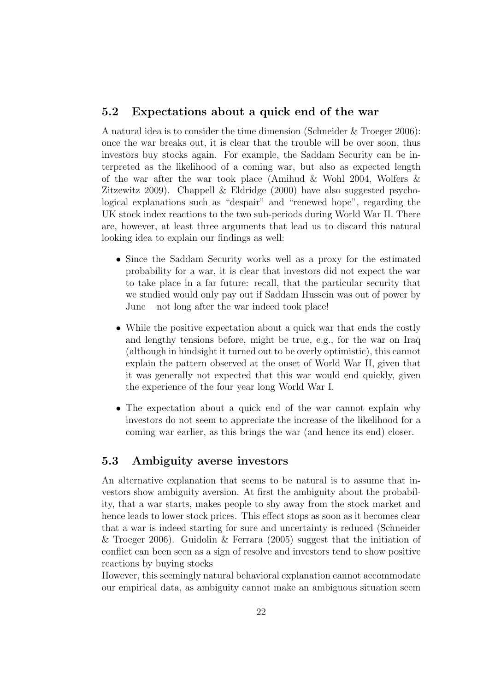#### 5.2 Expectations about a quick end of the war

A natural idea is to consider the time dimension (Schneider & Troeger 2006): once the war breaks out, it is clear that the trouble will be over soon, thus investors buy stocks again. For example, the Saddam Security can be interpreted as the likelihood of a coming war, but also as expected length of the war after the war took place (Amihud & Wohl 2004, Wolfers & Zitzewitz 2009). Chappell & Eldridge (2000) have also suggested psychological explanations such as "despair" and "renewed hope", regarding the UK stock index reactions to the two sub-periods during World War II. There are, however, at least three arguments that lead us to discard this natural looking idea to explain our findings as well:

- Since the Saddam Security works well as a proxy for the estimated probability for a war, it is clear that investors did not expect the war to take place in a far future: recall, that the particular security that we studied would only pay out if Saddam Hussein was out of power by June – not long after the war indeed took place!
- While the positive expectation about a quick war that ends the costly and lengthy tensions before, might be true, e.g., for the war on Iraq (although in hindsight it turned out to be overly optimistic), this cannot explain the pattern observed at the onset of World War II, given that it was generally not expected that this war would end quickly, given the experience of the four year long World War I.
- The expectation about a quick end of the war cannot explain why investors do not seem to appreciate the increase of the likelihood for a coming war earlier, as this brings the war (and hence its end) closer.

#### 5.3 Ambiguity averse investors

An alternative explanation that seems to be natural is to assume that investors show ambiguity aversion. At first the ambiguity about the probability, that a war starts, makes people to shy away from the stock market and hence leads to lower stock prices. This effect stops as soon as it becomes clear that a war is indeed starting for sure and uncertainty is reduced (Schneider & Troeger 2006). Guidolin & Ferrara (2005) suggest that the initiation of conflict can been seen as a sign of resolve and investors tend to show positive reactions by buying stocks

However, this seemingly natural behavioral explanation cannot accommodate our empirical data, as ambiguity cannot make an ambiguous situation seem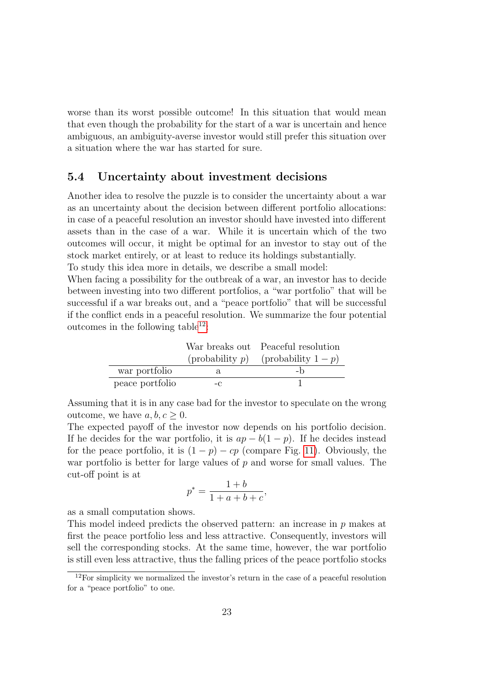worse than its worst possible outcome! In this situation that would mean that even though the probability for the start of a war is uncertain and hence ambiguous, an ambiguity-averse investor would still prefer this situation over a situation where the war has started for sure.

#### 5.4 Uncertainty about investment decisions

Another idea to resolve the puzzle is to consider the uncertainty about a war as an uncertainty about the decision between different portfolio allocations: in case of a peaceful resolution an investor should have invested into different assets than in the case of a war. While it is uncertain which of the two outcomes will occur, it might be optimal for an investor to stay out of the stock market entirely, or at least to reduce its holdings substantially.

To study this idea more in details, we describe a small model:

When facing a possibility for the outbreak of a war, an investor has to decide between investing into two different portfolios, a "war portfolio" that will be successful if a war breaks out, and a "peace portfolio" that will be successful if the conflict ends in a peaceful resolution. We summarize the four potential outcomes in the following table  $12$ :

|                 |     | War breaks out Peaceful resolution   |
|-----------------|-----|--------------------------------------|
|                 |     | (probability p) (probability $1-p$ ) |
| war portfolio   |     | -h                                   |
| peace portfolio | -C. |                                      |

Assuming that it is in any case bad for the investor to speculate on the wrong outcome, we have  $a, b, c \geq 0$ .

The expected payoff of the investor now depends on his portfolio decision. If he decides for the war portfolio, it is  $ap - b(1 - p)$ . If he decides instead for the peace portfolio, it is  $(1 - p) - cp$  (compare Fig. [11\)](#page-23-0). Obviously, the war portfolio is better for large values of  $p$  and worse for small values. The cut-off point is at

$$
p^* = \frac{1+b}{1+a+b+c},
$$

as a small computation shows.

This model indeed predicts the observed pattern: an increase in p makes at first the peace portfolio less and less attractive. Consequently, investors will sell the corresponding stocks. At the same time, however, the war portfolio is still even less attractive, thus the falling prices of the peace portfolio stocks

<span id="page-22-0"></span> $12$ For simplicity we normalized the investor's return in the case of a peaceful resolution for a "peace portfolio" to one.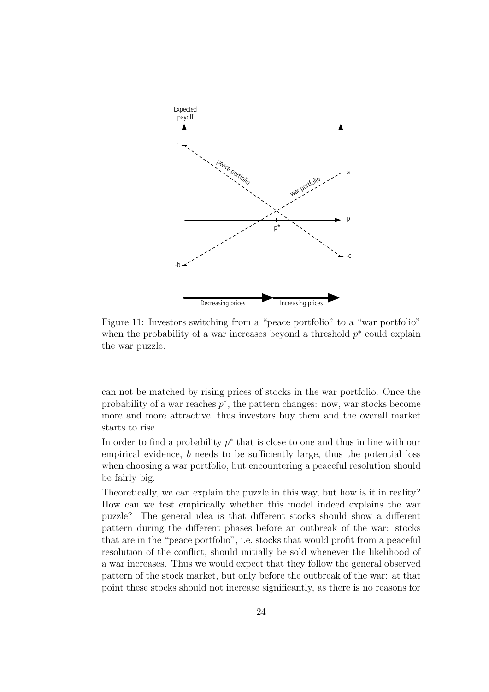<span id="page-23-0"></span>

Figure 11: Investors switching from a "peace portfolio" to a "war portfolio" when the probability of a war increases beyond a threshold  $p^*$  could explain the war puzzle.

can not be matched by rising prices of stocks in the war portfolio. Once the probability of a war reaches  $p^*$ , the pattern changes: now, war stocks become more and more attractive, thus investors buy them and the overall market starts to rise.

In order to find a probability  $p^*$  that is close to one and thus in line with our empirical evidence, b needs to be sufficiently large, thus the potential loss when choosing a war portfolio, but encountering a peaceful resolution should be fairly big.

Theoretically, we can explain the puzzle in this way, but how is it in reality? How can we test empirically whether this model indeed explains the war puzzle? The general idea is that different stocks should show a different pattern during the different phases before an outbreak of the war: stocks that are in the "peace portfolio", i.e. stocks that would profit from a peaceful resolution of the conflict, should initially be sold whenever the likelihood of a war increases. Thus we would expect that they follow the general observed pattern of the stock market, but only before the outbreak of the war: at that point these stocks should not increase significantly, as there is no reasons for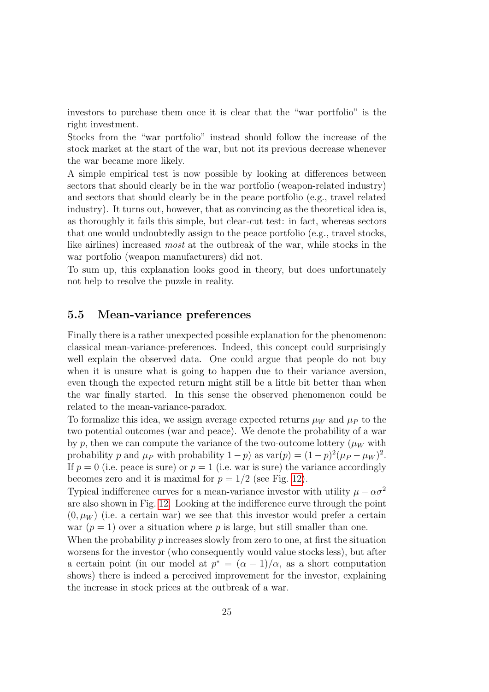investors to purchase them once it is clear that the "war portfolio" is the right investment.

Stocks from the "war portfolio" instead should follow the increase of the stock market at the start of the war, but not its previous decrease whenever the war became more likely.

A simple empirical test is now possible by looking at differences between sectors that should clearly be in the war portfolio (weapon-related industry) and sectors that should clearly be in the peace portfolio (e.g., travel related industry). It turns out, however, that as convincing as the theoretical idea is, as thoroughly it fails this simple, but clear-cut test: in fact, whereas sectors that one would undoubtedly assign to the peace portfolio (e.g., travel stocks, like airlines) increased most at the outbreak of the war, while stocks in the war portfolio (weapon manufacturers) did not.

To sum up, this explanation looks good in theory, but does unfortunately not help to resolve the puzzle in reality.

#### 5.5 Mean-variance preferences

Finally there is a rather unexpected possible explanation for the phenomenon: classical mean-variance-preferences. Indeed, this concept could surprisingly well explain the observed data. One could argue that people do not buy when it is unsure what is going to happen due to their variance aversion, even though the expected return might still be a little bit better than when the war finally started. In this sense the observed phenomenon could be related to the mean-variance-paradox.

To formalize this idea, we assign average expected returns  $\mu_W$  and  $\mu_P$  to the two potential outcomes (war and peace). We denote the probability of a war by p, then we can compute the variance of the two-outcome lottery  $(\mu_W$  with probability p and  $\mu_P$  with probability  $1-p$ ) as  $var(p) = (1-p)^2(\mu_P - \mu_W)^2$ . If  $p = 0$  (i.e. peace is sure) or  $p = 1$  (i.e. war is sure) the variance accordingly becomes zero and it is maximal for  $p = 1/2$  (see Fig. [12\)](#page-25-1).

Typical indifference curves for a mean-variance investor with utility  $\mu - \alpha \sigma^2$ are also shown in Fig. [12.](#page-25-1) Looking at the indifference curve through the point  $(0, \mu_W)$  (i.e. a certain war) we see that this investor would prefer a certain war  $(p = 1)$  over a situation where p is large, but still smaller than one.

When the probability  $p$  increases slowly from zero to one, at first the situation worsens for the investor (who consequently would value stocks less), but after a certain point (in our model at  $p^* = (\alpha - 1)/\alpha$ , as a short computation shows) there is indeed a perceived improvement for the investor, explaining the increase in stock prices at the outbreak of a war.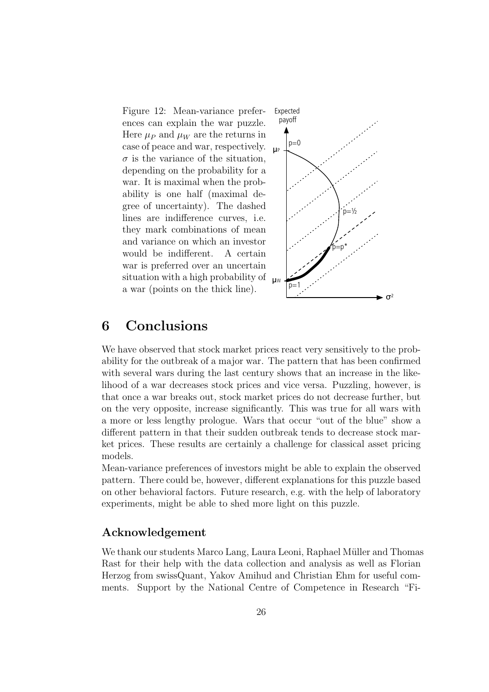<span id="page-25-1"></span>Figure 12: Mean-variance preferences can explain the war puzzle. Here  $\mu_P$  and  $\mu_W$  are the returns in case of peace and war, respectively.  $\sigma$  is the variance of the situation, depending on the probability for a war. It is maximal when the probability is one half (maximal degree of uncertainty). The dashed lines are indifference curves, i.e. they mark combinations of mean and variance on which an investor would be indifferent. A certain war is preferred over an uncertain situation with a high probability of a war (points on the thick line).



# <span id="page-25-0"></span>6 Conclusions

We have observed that stock market prices react very sensitively to the probability for the outbreak of a major war. The pattern that has been confirmed with several wars during the last century shows that an increase in the likelihood of a war decreases stock prices and vice versa. Puzzling, however, is that once a war breaks out, stock market prices do not decrease further, but on the very opposite, increase significantly. This was true for all wars with a more or less lengthy prologue. Wars that occur "out of the blue" show a different pattern in that their sudden outbreak tends to decrease stock market prices. These results are certainly a challenge for classical asset pricing models.

Mean-variance preferences of investors might be able to explain the observed pattern. There could be, however, different explanations for this puzzle based on other behavioral factors. Future research, e.g. with the help of laboratory experiments, might be able to shed more light on this puzzle.

#### Acknowledgement

We thank our students Marco Lang, Laura Leoni, Raphael Müller and Thomas Rast for their help with the data collection and analysis as well as Florian Herzog from swissQuant, Yakov Amihud and Christian Ehm for useful comments. Support by the National Centre of Competence in Research "Fi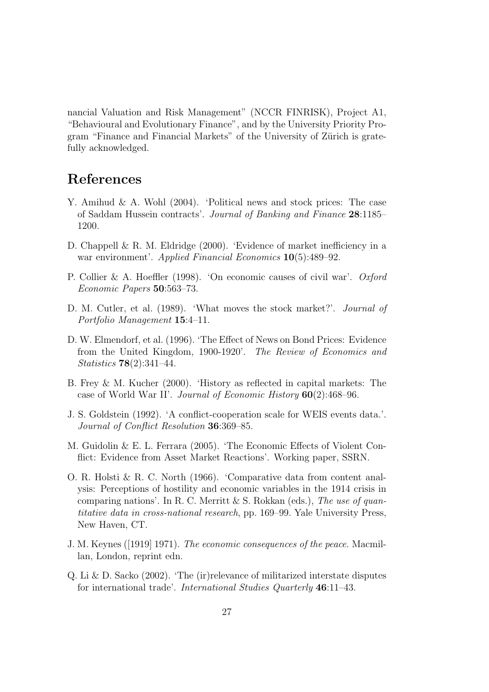nancial Valuation and Risk Management" (NCCR FINRISK), Project A1, "Behavioural and Evolutionary Finance", and by the University Priority Program "Finance and Financial Markets" of the University of Zürich is gratefully acknowledged.

### References

- Y. Amihud & A. Wohl (2004). 'Political news and stock prices: The case of Saddam Hussein contracts'. Journal of Banking and Finance 28:1185– 1200.
- D. Chappell & R. M. Eldridge (2000). 'Evidence of market inefficiency in a war environment'. Applied Financial Economics **10**(5):489–92.
- P. Collier & A. Hoeffler (1998). 'On economic causes of civil war'. Oxford Economic Papers 50:563–73.
- D. M. Cutler, et al. (1989). 'What moves the stock market?'. Journal of Portfolio Management 15:4–11.
- D. W. Elmendorf, et al. (1996). 'The Effect of News on Bond Prices: Evidence from the United Kingdom, 1900-1920'. The Review of Economics and Statistics 78(2):341–44.
- B. Frey & M. Kucher (2000). 'History as reflected in capital markets: The case of World War II'. Journal of Economic History 60(2):468–96.
- J. S. Goldstein (1992). 'A conflict-cooperation scale for WEIS events data.'. Journal of Conflict Resolution 36:369–85.
- M. Guidolin & E. L. Ferrara (2005). 'The Economic Effects of Violent Conflict: Evidence from Asset Market Reactions'. Working paper, SSRN.
- O. R. Holsti & R. C. North (1966). 'Comparative data from content analysis: Perceptions of hostility and economic variables in the 1914 crisis in comparing nations'. In R. C. Merritt & S. Rokkan (eds.), The use of quantitative data in cross-national research, pp. 169–99. Yale University Press, New Haven, CT.
- J. M. Keynes ([1919] 1971). The economic consequences of the peace. Macmillan, London, reprint edn.
- Q. Li & D. Sacko (2002). 'The (ir)relevance of militarized interstate disputes for international trade'. International Studies Quarterly 46:11–43.